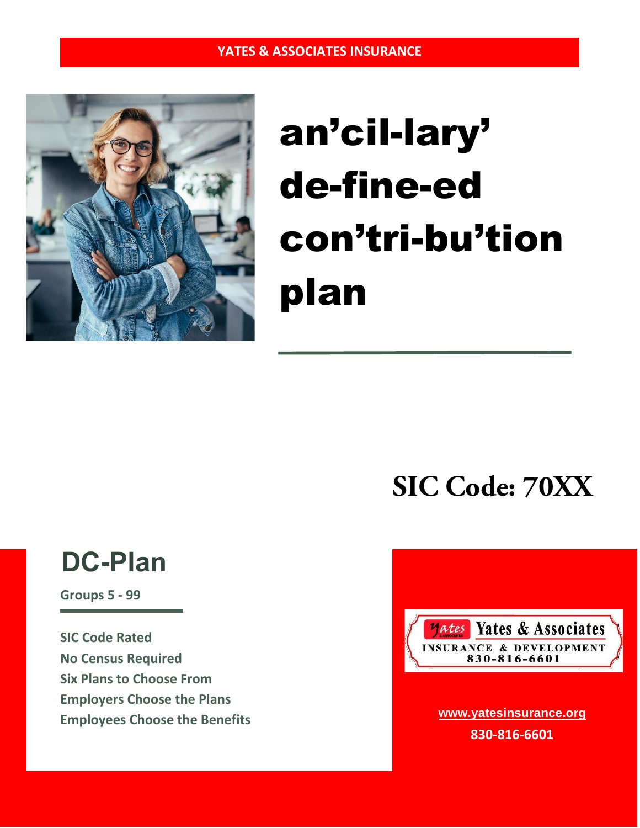

# an'cil-lary' de-fine-ed con'tri-bu'tion plan

**SIC Code: 70XX**

# **DC-Plan**

**Groups 5 - 99**

**SIC Code Rated No Census Required Six Plans to Choose From Employers Choose the Plans Employees Choose the Benefits**



**www.yatesinsurance.org 830-816-6601**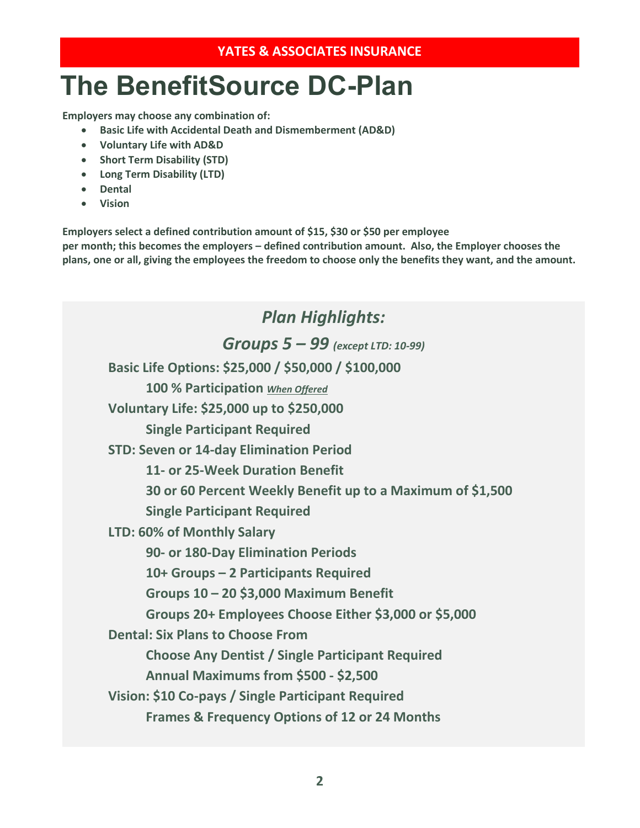# **The BenefitSource DC-Plan**

**Employers may choose any combination of:**

- **Basic Life with Accidental Death and Dismemberment (AD&D)**
- **Voluntary Life with AD&D**
- **Short Term Disability (STD)**
- **Long Term Disability (LTD)**
- **Dental**
- **Vision**

**Employers select a defined contribution amount of \$15, \$30 or \$50 per employee per month; this becomes the employers – defined contribution amount. Also, the Employer chooses the plans, one or all, giving the employees the freedom to choose only the benefits they want, and the amount.** 

*Plan Highlights: Groups 5 – 99 (except LTD: 10-99)* **Basic Life Options: \$25,000 / \$50,000 / \$100,000 100 % Participation** *When Offered* **Voluntary Life: \$25,000 up to \$250,000 Single Participant Required STD: Seven or 14-day Elimination Period 11- or 25-Week Duration Benefit 30 or 60 Percent Weekly Benefit up to a Maximum of \$1,500 Single Participant Required LTD: 60% of Monthly Salary 90- or 180-Day Elimination Periods 10+ Groups – 2 Participants Required Groups 10 – 20 \$3,000 Maximum Benefit Groups 20+ Employees Choose Either \$3,000 or \$5,000 Dental: Six Plans to Choose From Choose Any Dentist / Single Participant Required Annual Maximums from \$500 - \$2,500 Vision: \$10 Co-pays / Single Participant Required Frames & Frequency Options of 12 or 24 Months**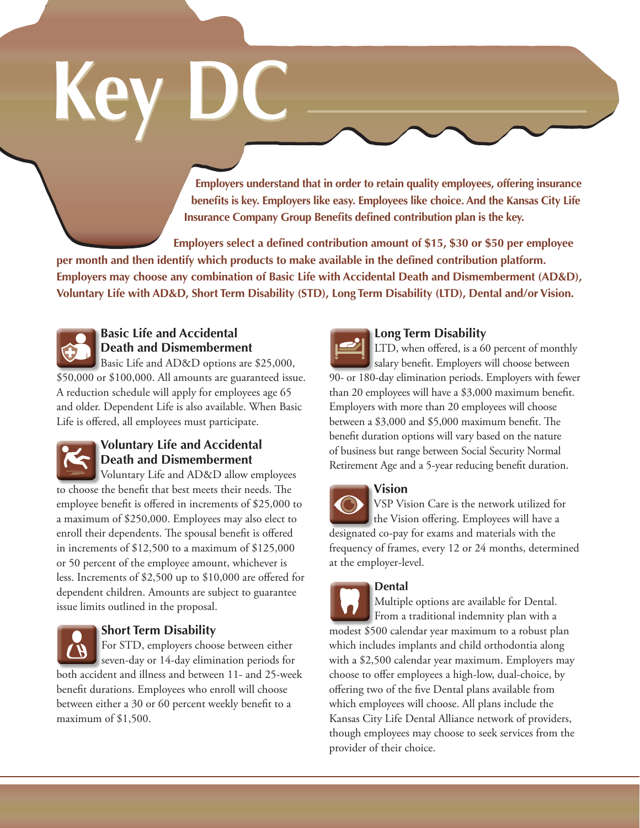# **Key DC Key DC**

**Employers understand that in order to retain quality employees, offering insurance benefits is key. Employers like easy. Employees like choice. And the Kansas City Life Insurance Company Group Benefits defined contribution plan is the key.**

**Employers select a defined contribution amount of \$15, \$30 or \$50 per employee** 

**per month and then identify which products to make available in the defined contribution platform. Employers may choose any combination of Basic Life with Accidental Death and Dismemberment (AD&D), Voluntary Life with AD&D, Short Term Disability (STD), Long Term Disability (LTD), Dental and/or Vision.**



# **Basic Life and Accidental Death and Dismemberment**

Basic Life and AD&D options are \$25,000, \$50,000 or \$100,000. All amounts are guaranteed issue. A reduction schedule will apply for employees age 65 and older. Dependent Life is also available. When Basic Life is offered, all employees must participate.



# **Voluntary Life and Accidental Death and Dismemberment**

Voluntary Life and AD&D allow employees to choose the benefit that best meets their needs. The employee benefit is offered in increments of \$25,000 to a maximum of \$250,000. Employees may also elect to enroll their dependents. The spousal benefit is offered in increments of \$12,500 to a maximum of \$125,000 or 50 percent of the employee amount, whichever is less. Increments of \$2,500 up to \$10,000 are offered for dependent children. Amounts are subject to guarantee issue limits outlined in the proposal.



# **Short Term Disability**

For STD, employers choose between either seven-day or 14-day elimination periods for both accident and illness and between 11- and 25-week benefit durations. Employees who enroll will choose between either a 30 or 60 percent weekly benefit to a maximum of \$1,500.



# **Long Term Disability**

LTD, when offered, is a 60 percent of monthly salary benefit. Employers will choose between 90- or 180-day elimination periods. Employers with fewer than 20 employees will have a \$3,000 maximum benefit. Employers with more than 20 employees will choose between a \$3,000 and \$5,000 maximum benefit. The benefit duration options will vary based on the nature of business but range between Social Security Normal Retirement Age and a 5-year reducing benefit duration.

### **Vision**

VSP Vision Care is the network utilized for the Vision offering. Employees will have a designated co-pay for exams and materials with the frequency of frames, every 12 or 24 months, determined at the employer-level.

#### **Dental**

Multiple options are available for Dental. From a traditional indemnity plan with a modest \$500 calendar year maximum to a robust plan which includes implants and child orthodontia along with a \$2,500 calendar year maximum. Employers may choose to offer employees a high-low, dual-choice, by offering two of the five Dental plans available from which employees will choose. All plans include the Kansas City Life Dental Alliance network of providers, though employees may choose to seek services from the provider of their choice.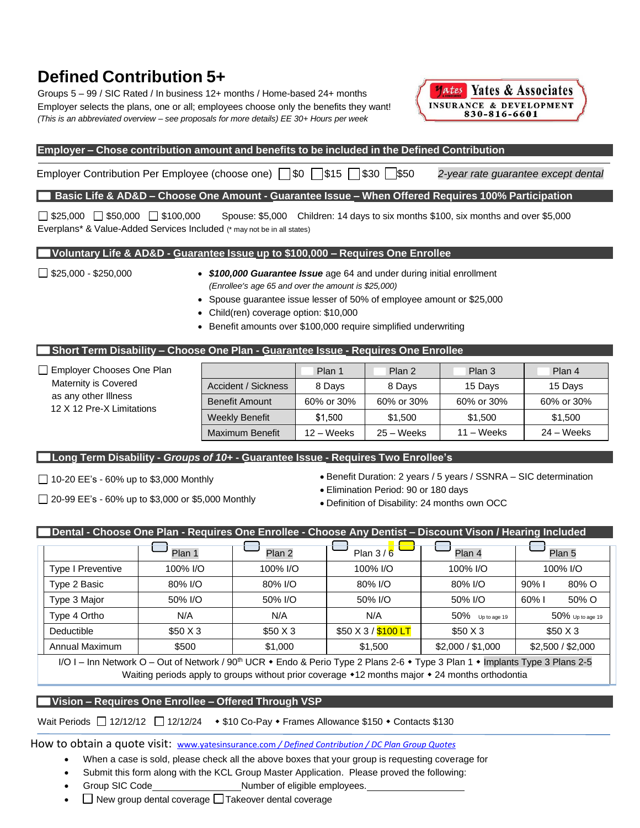# **Defined Contribution 5+**

Groups 5 – 99 / SIC Rated / In business 12+ months / Home-based 24+ months Employer selects the plans, one or all; employees choose only the benefits they want! *(This is an abbreviated overview – see proposals for more details) EE 30+ Hours per week*



#### **Employer – Chose contribution amount and benefits to be included in the Defined Contribution**

Employer Contribution Per Employee (choose one)  $\Box$ \$0  $\Box$ \$15  $\Box$ \$30  $\Box$ \$50 *2-year rate guarantee except dental* 

#### **Basic Life & AD&D – Choose One Amount - Guarantee Issue – When Offered Requires 100% Participation**

 $\Box$  \$25,000  $\Box$  \$50,000  $\Box$  \$100,000 Spouse: \$5,000 Children: 14 days to six months \$100, six months and over \$5,000 Everplans\* & Value-Added Services Included (\* may not be in all states)

#### **Voluntary Life & AD&D - Guarantee Issue up to \$100,000 – Requires One Enrollee**

- \$25,000 \$250,000 *\$100,000 Guarantee Issue* age 64 and under during initial enrollment *(Enrollee's age 65 and over the amount is \$25,000)*
	- Spouse guarantee issue lesser of 50% of employee amount or \$25,000
	- Child(ren) coverage option: \$10,000
	- Benefit amounts over \$100,000 require simplified underwriting

#### **Short Term Disability – Choose One Plan - Guarantee Issue - Requires One Enrollee**

| $\Box$ Employer Chooses One Plan                  |                       | Plan 1     | Plan 2       | Plan 3              | Plan 4     |
|---------------------------------------------------|-----------------------|------------|--------------|---------------------|------------|
| Maternity is Covered                              | Accident / Sickness   | 8 Days     | 8 Days       | 15 Days             | 15 Days    |
| as any other Illness<br>12 X 12 Pre-X Limitations | <b>Benefit Amount</b> | 60% or 30% | 60% or 30%   | 60% or 30%          | 60% or 30% |
|                                                   | <b>Weekly Benefit</b> | \$1,500    | \$1,500      | \$1,500             | \$1,500    |
|                                                   | Maximum Benefit       | 12 – Weeks | $25 - Weeks$ | $11 - \text{Weeks}$ | 24 – Weeks |

#### **Long Term Disability -** *Groups of 10+* **- Guarantee Issue - Requires Two Enrollee's**

 $\Box$  10-20 EE's - 60% up to \$3,000 Monthly

- $\Box$  20-99 EE's 60% up to \$3,000 or \$5,000 Monthly
- Benefit Duration: 2 years / 5 years / SSNRA SIC determination
- Elimination Period: 90 or 180 days
- Definition of Disability: 24 months own OCC

#### Dental - Choose One Plan - Requires One Enrollee - Choose Any Dentist – Discount Vison / Hearing Included

|                                           | Plan 1                      | Plan 2   | Plan $3/6$                    | Plan 4              | Plan <sub>5</sub>                  |
|-------------------------------------------|-----------------------------|----------|-------------------------------|---------------------|------------------------------------|
| <b>Type I Preventive</b>                  | 100% I/O                    | 100% I/O | 100% I/O                      | 100% I/O            | 100% I/O                           |
| Type 2 Basic                              | 80% I/O                     | 80% I/O  | 80% I/O                       | 80% I/O             | 80% O<br>90%                       |
| Type 3 Major                              | 50% I/O                     | 50% I/O  | 50% I/O                       | 50% I/O             | 50% O<br>60%                       |
| Type 4 Ortho                              | N/A                         | N/A      | N/A                           | $50\%$ Up to age 19 | $50\%$ Up to age 19                |
| Deductible                                | \$50X3                      | \$50X3   | \$50 X 3 / \$100 LT           | \$50X3              | \$50X3                             |
| Annual Maximum                            | \$500                       | \$1,000  | \$1,500                       | \$2,000 / \$1,000   | \$2,500 / \$2,000                  |
| $\sim$ $\sim$ $\sim$ $\sim$ $\sim$ $\sim$ | $\sim$ $\sim$ $\sim$ $\sim$ | - - - -  | <u>_ _ .</u><br>$\sim$ $\sim$ |                     | $\sim$ $\sim$ $\sim$<br>$\sim$ $-$ |

I/O I – Inn Network O – Out of Network / 90<sup>th</sup> UCR • Endo & Perio Type 2 Plans 2-6 • Type 3 Plan 1 • Implants Type 3 Plans 2-5 Waiting periods apply to groups without prior coverage  $*12$  months major  $*24$  months orthodontia

#### **Vision – Requires One Enrollee – Offered Through VSP**

Wait Periods  $\Box$  12/12/12  $\Box$  12/12/24  $\bullet$  \$10 Co-Pay  $\bullet$  Frames Allowance \$150  $\bullet$  Contacts \$130

How to obtain a quote visit: www.yatesinsurance.com */ Defined Contribution / DC Plan Group Quotes*

- When a case is sold, please check all the above boxes that your group is requesting coverage for
- Submit this form along with the KCL Group Master Application. Please proved the following:
- Group SIC Code Number of eligible employees.
- $\Box$  New group dental coverage  $\Box$  Takeover dental coverage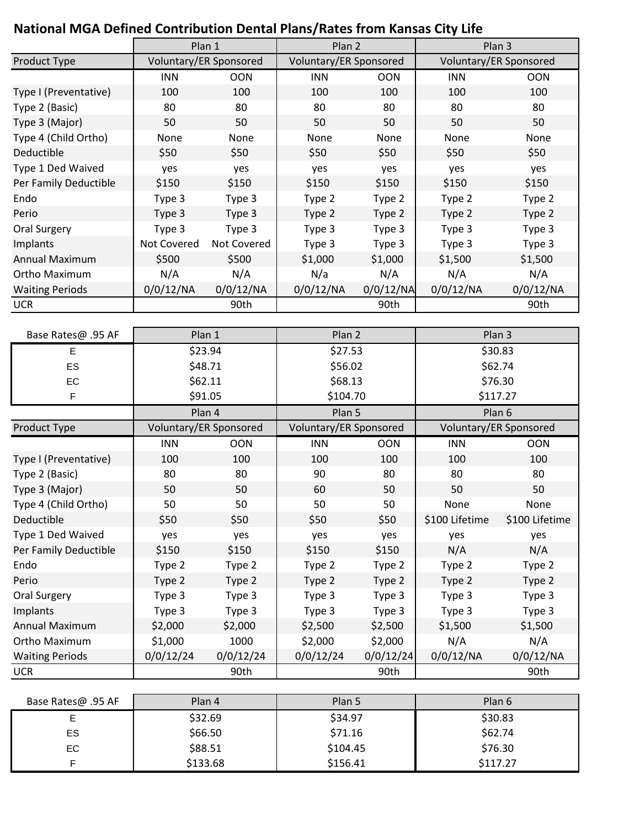# **National MGA Defined Contribution Dental Plans/Rates from Kansas City Life**

|                        | Plan 1      |                        | Plan 2     |                        | Plan 3     |                        |  |
|------------------------|-------------|------------------------|------------|------------------------|------------|------------------------|--|
| Product Type           |             | Voluntary/ER Sponsored |            | Voluntary/ER Sponsored |            | Voluntary/ER Sponsored |  |
|                        | <b>INN</b>  | <b>OON</b>             | <b>INN</b> | <b>OON</b>             | <b>INN</b> | <b>OON</b>             |  |
| Type I (Preventative)  | 100         | 100                    | 100        | 100                    | 100        | 100                    |  |
| Type 2 (Basic)         | 80          | 80                     | 80         | 80                     | 80         | 80                     |  |
| Type 3 (Major)         | 50          | 50                     | 50         | 50                     | 50         | 50                     |  |
| Type 4 (Child Ortho)   | None        | None                   | None       | None                   | None       | None                   |  |
| Deductible             | \$50        | \$50                   | \$50       | \$50                   | \$50       | \$50                   |  |
| Type 1 Ded Waived      | yes         | yes                    | yes        | yes                    | yes        | yes                    |  |
| Per Family Deductible  | \$150       | \$150                  | \$150      | \$150                  | \$150      | \$150                  |  |
| Endo                   | Type 3      | Type 3                 | Type 2     | Type 2                 | Type 2     | Type 2                 |  |
| Perio                  | Type 3      | Type 3                 | Type 2     | Type 2                 | Type 2     | Type 2                 |  |
| Oral Surgery           | Type 3      | Type 3                 | Type 3     | Type 3                 | Type 3     | Type 3                 |  |
| Implants               | Not Covered | Not Covered            | Type 3     | Type 3                 | Type 3     | Type 3                 |  |
| Annual Maximum         | \$500       | \$500                  | \$1,000    | \$1,000                | \$1,500    | \$1,500                |  |
| Ortho Maximum          | N/A         | N/A                    | N/a        | N/A                    | N/A        | N/A                    |  |
| <b>Waiting Periods</b> | 0/0/12/NA   | 0/0/12/NA              | 0/0/12/NA  | 0/0/12/NA              | 0/0/12/NA  | 0/0/12/NA              |  |
| <b>UCR</b>             |             | 90th                   |            | 90th                   |            | 90th                   |  |

| Base Rates@ .95 AF     | Plan 1                 |            | Plan 2                 |            | Plan 3                 |                |
|------------------------|------------------------|------------|------------------------|------------|------------------------|----------------|
| E                      |                        | \$23.94    | \$27.53                |            | \$30.83                |                |
| ES                     | \$48.71                |            | \$56.02                |            |                        | \$62.74        |
| EC                     | \$62.11                |            | \$68.13                |            |                        | \$76.30        |
| F                      | \$91.05                |            | \$104.70               |            | \$117.27               |                |
|                        |                        | Plan 4     | Plan 5                 |            | Plan 6                 |                |
| <b>Product Type</b>    | Voluntary/ER Sponsored |            | Voluntary/ER Sponsored |            | Voluntary/ER Sponsored |                |
|                        | <b>INN</b>             | <b>OON</b> | <b>INN</b>             | <b>OON</b> | <b>INN</b>             | <b>OON</b>     |
| Type I (Preventative)  | 100                    | 100        | 100                    | 100        | 100                    | 100            |
| Type 2 (Basic)         | 80                     | 80         | 90                     | 80         | 80                     | 80             |
| Type 3 (Major)         | 50                     | 50         | 60                     | 50         | 50                     | 50             |
| Type 4 (Child Ortho)   | 50                     | 50         | 50                     | 50         | None                   | None           |
| Deductible             | \$50                   | \$50       | \$50                   | \$50       | \$100 Lifetime         | \$100 Lifetime |
| Type 1 Ded Waived      | yes                    | yes        | yes                    | yes        | yes                    | yes            |
| Per Family Deductible  | \$150                  | \$150      | \$150                  | \$150      | N/A                    | N/A            |
| Endo                   | Type 2                 | Type 2     | Type 2                 | Type 2     | Type 2                 | Type 2         |
| Perio                  | Type 2                 | Type 2     | Type 2                 | Type 2     | Type 2                 | Type 2         |
| Oral Surgery           | Type 3                 | Type 3     | Type 3                 | Type 3     | Type 3                 | Type 3         |
| Implants               | Type 3                 | Type 3     | Type 3                 | Type 3     | Type 3                 | Type 3         |
| Annual Maximum         | \$2,000                | \$2,000    | \$2,500                | \$2,500    | \$1,500                | \$1,500        |
| Ortho Maximum          | \$1,000                | 1000       | \$2,000                | \$2,000    | N/A                    | N/A            |
| <b>Waiting Periods</b> | 0/0/12/24              | 0/0/12/24  | 0/0/12/24              | 0/0/12/24  | 0/0/12/NA              | 0/0/12/NA      |
| <b>UCR</b>             |                        | 90th       |                        | 90th       |                        | 90th           |

| Base Rates@ .95 AF | Plan 4   | Plan 5   | Plan 6   |
|--------------------|----------|----------|----------|
|                    | \$32.69  | \$34.97  | \$30.83  |
| ES.                | \$66.50  | \$71.16  | \$62.74  |
| EC.                | \$88.51  | \$104.45 | \$76.30  |
|                    | \$133.68 | \$156.41 | \$117.27 |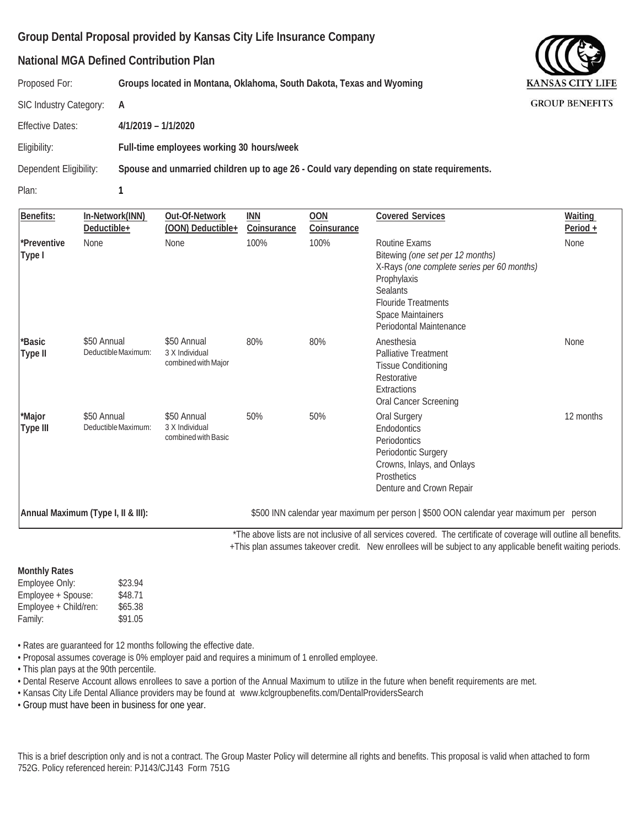#### **National MGA Defined Contribution Plan**

Proposed For: **Groups located in Montana, Oklahoma, South Dakota, Texas and Wyoming**

SIC Industry Category: **A**

Effective Dates: **4/1/2019 – 1/1/2020**

Eligibility: **Full-time employees working 30 hours/week**

Dependent Eligibility: **Spouse and unmarried children up to age 26 - Could vary depending on state requirements.**

Plan: **1**

| Benefits:             | In-Network(INN)<br>Deductible+     | Out-Of-Network<br>(OON) Deductible+                  | <b>INN</b><br>Coinsurance | <b>OON</b><br>Coinsurance | <b>Covered Services</b>                                                                                                                                                                                                | Waiting<br>Period $+$ |
|-----------------------|------------------------------------|------------------------------------------------------|---------------------------|---------------------------|------------------------------------------------------------------------------------------------------------------------------------------------------------------------------------------------------------------------|-----------------------|
| *Preventive<br>Type I | None                               | None                                                 | 100%                      | 100%                      | <b>Routine Exams</b><br>Bitewing (one set per 12 months)<br>X-Rays (one complete series per 60 months)<br>Prophylaxis<br><b>Sealants</b><br><b>Flouride Treatments</b><br>Space Maintainers<br>Periodontal Maintenance | None                  |
| *Basic<br>Type II     | \$50 Annual<br>Deductible Maximum: | \$50 Annual<br>3 X Individual<br>combined with Major | 80%                       | 80%                       | Anesthesia<br><b>Palliative Treatment</b><br><b>Tissue Conditioning</b><br>Restorative<br>Extractions<br>Oral Cancer Screening                                                                                         | None                  |
| *Major<br>Type III    | \$50 Annual<br>Deductible Maximum: | \$50 Annual<br>3 X Individual<br>combined with Basic | 50%                       | 50%                       | Oral Surgery<br>Endodontics<br>Periodontics<br>Periodontic Surgery<br>Crowns, Inlays, and Onlays<br><b>Prosthetics</b><br>Denture and Crown Repair                                                                     | 12 months             |
|                       | Annual Maximum (Type I, II & III): |                                                      |                           |                           | \$500 INN calendar year maximum per person   \$500 OON calendar year maximum per person                                                                                                                                |                       |

\*The above lists are not inclusive of all services covered. The certificate of coverage will outline all benefits.

+This plan assumes takeover credit. New enrollees will be subject to any applicable benefit waiting periods.

#### **Monthly Rates**

Employee Only: \$23.94 Employee + Spouse: \$48.71 Employee + Child/ren: \$65.38 Family: \$91.05

• Rates are guaranteed for 12 months following the effective date.

• Proposal assumes coverage is 0% employer paid and requires a minimum of 1 enrolled employee.

• This plan pays at the 90th percentile.

• Dental Reserve Account allows enrollees to save a portion of the Annual Maximum to utilize in the future when benefit requirements are met.

• Kansas City Life Dental Alliance providers may be found at [www.kclgroupbenefits.com/DentalProvidersSearch](http://www.kclgroupbenefits.com/DentalProvidersSearch)

• Group must have been in business for one year.

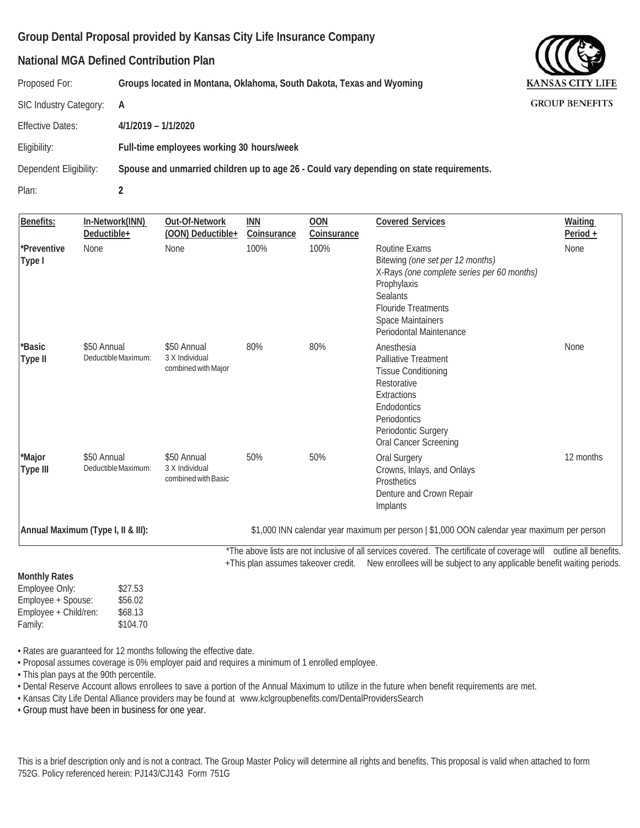#### **National MGA Defined Contribution Plan**

Proposed For: **Groups located in Montana, Oklahoma, South Dakota, Texas and Wyoming**

SIC Industry Category: **A**

Effective Dates: **4/1/2019 – 1/1/2020**

Eligibility: **Full-time employees working 30 hours/week**

Dependent Eligibility: **Spouse and unmarried children up to age 26 - Could vary depending on state requirements.**

Plan: **2**

| Benefits:              | In-Network(INN)<br>Deductible+     | Out-Of-Network<br>(OON) Deductible+                  | INN<br>Coinsurance | <b>OON</b><br>Coinsurance | <b>Covered Services</b>                                                                                                                                                                                                            | Waiting<br>Period + |
|------------------------|------------------------------------|------------------------------------------------------|--------------------|---------------------------|------------------------------------------------------------------------------------------------------------------------------------------------------------------------------------------------------------------------------------|---------------------|
| *Preventive<br> Type I | None                               | None                                                 | 100%               | 100%                      | Routine Exams<br>Bitewing (one set per 12 months)<br>X-Rays (one complete series per 60 months)<br>Prophylaxis<br><b>Sealants</b><br><b>Flouride Treatments</b><br>Space Maintainers<br>Periodontal Maintenance                    | None                |
| *Basic<br>Type II      | \$50 Annual<br>Deductible Maximum: | \$50 Annual<br>3 X Individual<br>combined with Major | 80%                | 80%                       | Anesthesia<br><b>Palliative Treatment</b><br><b>Tissue Conditioning</b><br>Restorative<br>Extractions<br>Endodontics<br>Periodontics<br>Periodontic Surgery<br>Oral Cancer Screening                                               | None                |
| *Major<br>Type III     | \$50 Annual<br>Deductible Maximum: | \$50 Annual<br>3 X Individual<br>combined with Basic | 50%                | 50%                       | Oral Surgery<br>Crowns, Inlays, and Onlays<br>Prosthetics<br>Denture and Crown Repair<br>Implants                                                                                                                                  | 12 months           |
|                        | Annual Maximum (Type I, II & III): |                                                      |                    |                           | \$1,000 INN calendar year maximum per person   \$1,000 OON calendar year maximum per person                                                                                                                                        |                     |
|                        |                                    |                                                      |                    |                           | *The above lists are not inclusive of all services covered. The certificate of coverage will outline all benefits.<br>+This plan assumes takeover credit. New enrollees will be subject to any applicable benefit waiting periods. |                     |
| <b>Monthly Rates</b>   |                                    |                                                      |                    |                           |                                                                                                                                                                                                                                    |                     |

Employee Only: \$27.53 Employee + Spouse: \$56.02 Employee + Child/ren: \$68.13 Family: \$104.70

• Rates are guaranteed for 12 months following the effective date.

• Proposal assumes coverage is 0% employer paid and requires a minimum of 1 enrolled employee.

• This plan pays at the 90th percentile.

• Dental Reserve Account allows enrollees to save a portion of the Annual Maximum to utilize in the future when benefit requirements are met.

• Kansas City Life Dental Alliance providers may be found at [www.kclgroupbenefits.com/DentalProvidersSearch](http://www.kclgroupbenefits.com/DentalProvidersSearch)

• Group must have been in business for one year.

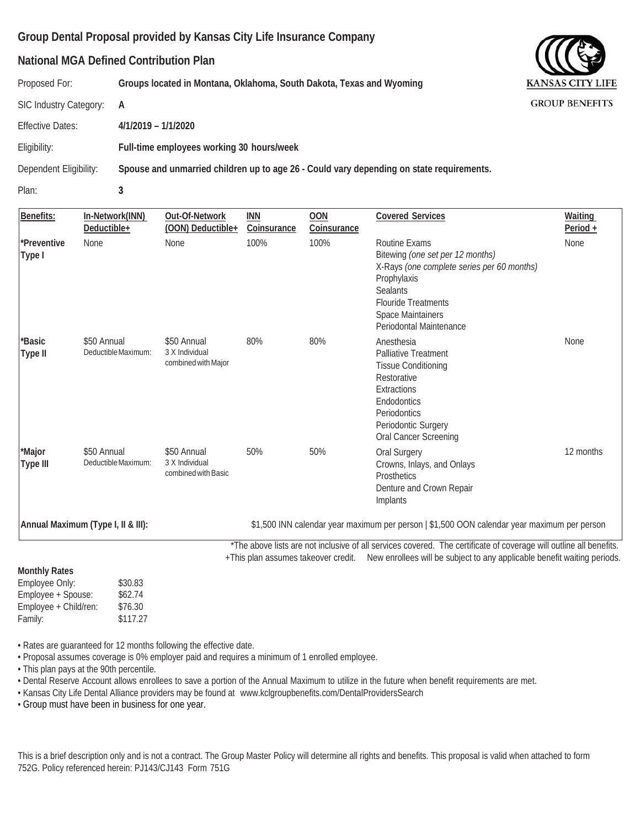#### **National MGA Defined Contribution Plan**

Proposed For: **Groups located in Montana, Oklahoma, South Dakota, Texas and Wyoming**

SIC Industry Category: **A**

Effective Dates: **4/1/2019 – 1/1/2020**

Eligibility: **Full-time employees working 30 hours/week**

Dependent Eligibility: **Spouse and unmarried children up to age 26 - Could vary depending on state requirements.**

Plan: **3**

| Benefits:             | In-Network(INN)<br>Deductible+     | Out-Of-Network<br>(OON) Deductible+                  | <b>INN</b><br>Coinsurance | <b>OON</b><br>Coinsurance | <b>Covered Services</b>                                                                                                                                                                                         | Waiting<br>Period + |
|-----------------------|------------------------------------|------------------------------------------------------|---------------------------|---------------------------|-----------------------------------------------------------------------------------------------------------------------------------------------------------------------------------------------------------------|---------------------|
| *Preventive<br>Type I | <b>None</b>                        | <b>None</b>                                          | 100%                      | 100%                      | Routine Exams<br>Bitewing (one set per 12 months)<br>X-Rays (one complete series per 60 months)<br>Prophylaxis<br><b>Sealants</b><br><b>Flouride Treatments</b><br>Space Maintainers<br>Periodontal Maintenance | None                |
| *Basic<br>Type II     | \$50 Annual<br>Deductible Maximum: | \$50 Annual<br>3 X Individual<br>combined with Major | 80%                       | 80%                       | Anesthesia<br><b>Palliative Treatment</b><br><b>Tissue Conditioning</b><br>Restorative<br>Extractions<br>Endodontics<br>Periodontics<br>Periodontic Surgery<br>Oral Cancer Screening                            | None                |
| *Major<br>Type III    | \$50 Annual<br>Deductible Maximum: | \$50 Annual<br>3 X Individual<br>combined with Basic | 50%                       | 50%                       | Oral Surgery<br>Crowns, Inlays, and Onlays<br>Prosthetics<br>Denture and Crown Repair<br>Implants                                                                                                               | 12 months           |
|                       | Annual Maximum (Type I, II & III): |                                                      |                           |                           | \$1,500 INN calendar year maximum per person   \$1,500 OON calendar year maximum per person<br>*The ghous ligts are not includive of all compass covered. The certificate of coverage will outline all benefite |                     |

The above lists are not inclusive of all services covered. The certificate of coverage will outline all benefits. +This plan assumes takeover credit. New enrollees will be subject to any applicable benefit waiting periods.

**Monthly Rates** Employee Only: \$30.83 Employee + Spouse: \$62.74 Employee + Child/ren: \$76.30 Family: \$117.27

• Rates are guaranteed for 12 months following the effective date.

• Proposal assumes coverage is 0% employer paid and requires a minimum of 1 enrolled employee.

• This plan pays at the 90th percentile.

• Dental Reserve Account allows enrollees to save a portion of the Annual Maximum to utilize in the future when benefit requirements are met.

• Kansas City Life Dental Alliance providers may be found at [www.kclgroupbenefits.com/DentalProvidersSearch](http://www.kclgroupbenefits.com/DentalProvidersSearch)

• Group must have been in business for one year.

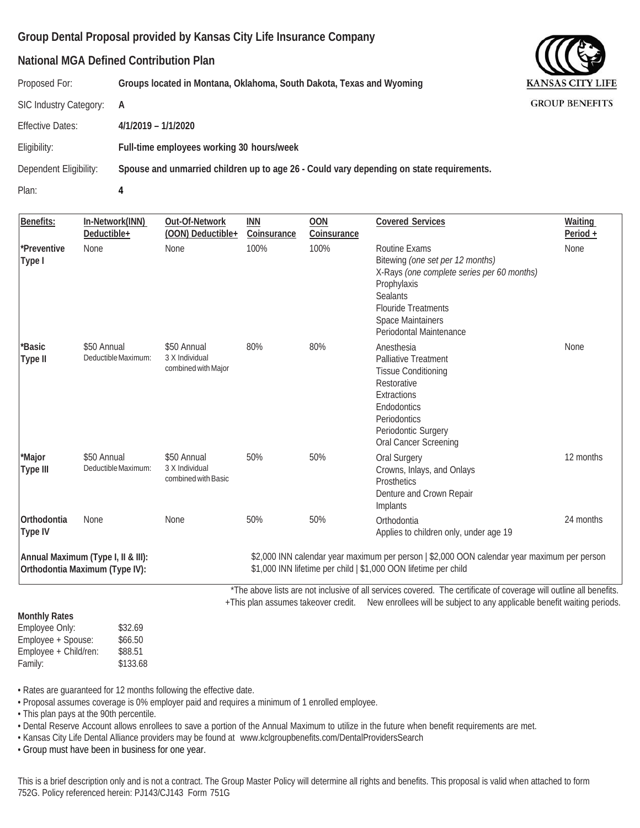#### **National MGA Defined Contribution Plan**

Proposed For: **Groups located in Montana, Oklahoma, South Dakota, Texas and Wyoming**

SIC Industry Category: **A**

Effective Dates: **4/1/2019 – 1/1/2020**

Eligibility: **Full-time employees working 30 hours/week**

Dependent Eligibility: **Spouse and unmarried children up to age 26 - Could vary depending on state requirements.**

Plan: **4**

| Benefits:                     | In-Network(INN)<br>Deductible+                                       | Out-Of-Network<br>(OON) Deductible+                  | <b>INN</b><br>Coinsurance | <b>OON</b><br>Coinsurance | <b>Covered Services</b>                                                                                                                                                                                                | Waiting<br>Period + |
|-------------------------------|----------------------------------------------------------------------|------------------------------------------------------|---------------------------|---------------------------|------------------------------------------------------------------------------------------------------------------------------------------------------------------------------------------------------------------------|---------------------|
| *Preventive<br>Type I         | None                                                                 | None                                                 | 100%                      | 100%                      | Routine Exams<br>Bitewing (one set per 12 months)<br>X-Rays (one complete series per 60 months)<br>Prophylaxis<br><b>Sealants</b><br><b>Flouride Treatments</b><br><b>Space Maintainers</b><br>Periodontal Maintenance | None                |
| *Basic<br>Type II             | \$50 Annual<br>Deductible Maximum:                                   | \$50 Annual<br>3 X Individual<br>combined with Major | 80%                       | 80%                       | Anesthesia<br><b>Palliative Treatment</b><br><b>Tissue Conditioning</b><br>Restorative<br>Extractions<br>Endodontics<br>Periodontics<br>Periodontic Surgery<br>Oral Cancer Screening                                   | None                |
| *Major<br>Type III            | \$50 Annual<br>Deductible Maximum:                                   | \$50 Annual<br>3 X Individual<br>combined with Basic | 50%                       | 50%                       | Oral Surgery<br>Crowns, Inlays, and Onlays<br>Prosthetics<br>Denture and Crown Repair<br>Implants                                                                                                                      | 12 months           |
| <b>Orthodontia</b><br>Type IV | None                                                                 | None                                                 | 50%                       | 50%                       | Orthodontia<br>Applies to children only, under age 19                                                                                                                                                                  | 24 months           |
|                               | Annual Maximum (Type I, II & III):<br>Orthodontia Maximum (Type IV): |                                                      |                           |                           | \$2,000 INN calendar year maximum per person   \$2,000 OON calendar year maximum per person<br>\$1,000 INN lifetime per child   \$1,000 OON lifetime per child                                                         |                     |

 \*The above lists are not inclusive of all services covered. The certificate of coverage will outline all benefits. +This plan assumes takeover credit. New enrollees will be subject to any applicable benefit waiting periods.

**Monthly Rates** Employee Only: \$32.69 Employee + Spouse: \$66.50 Employee + Child/ren: \$88.51 Family: \$133.68

• Rates are guaranteed for 12 months following the effective date.

• Proposal assumes coverage is 0% employer paid and requires a minimum of 1 enrolled employee.

• This plan pays at the 90th percentile.

• Dental Reserve Account allows enrollees to save a portion of the Annual Maximum to utilize in the future when benefit requirements are met.

• Kansas City Life Dental Alliance providers may be found at [www.kclgroupbenefits.com/DentalProvidersSearch](http://www.kclgroupbenefits.com/DentalProvidersSearch)

• Group must have been in business for one year.

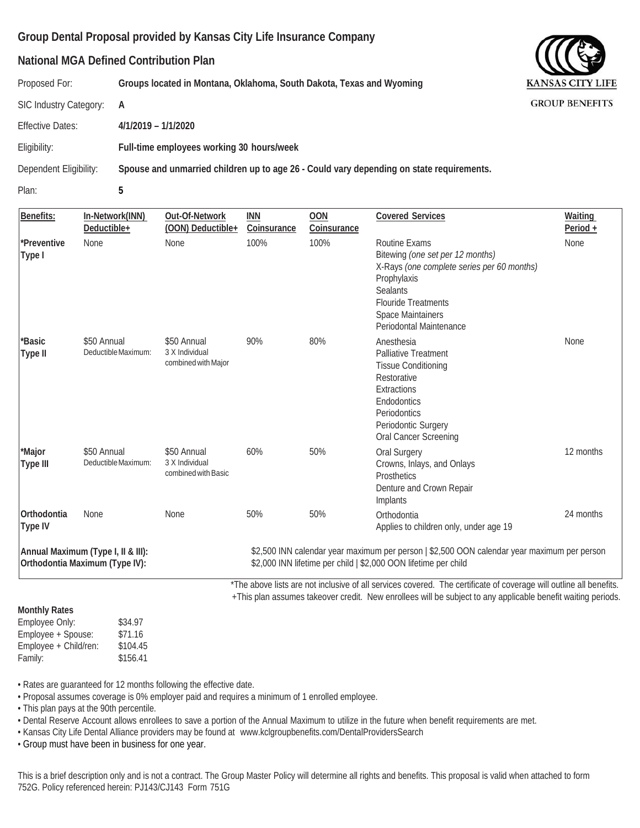#### **National MGA Defined Contribution Plan**

Proposed For: **Groups located in Montana, Oklahoma, South Dakota, Texas and Wyoming**

SIC Industry Category: **A**

Effective Dates: **4/1/2019 – 1/1/2020**

Eligibility: **Full-time employees working 30 hours/week**

Dependent Eligibility: **Spouse and unmarried children up to age 26 - Could vary depending on state requirements.**

Plan: **5**

| Benefits:                              | In-Network(INN)<br>Deductible+                                       | Out-Of-Network<br>(OON) Deductible+                  | INN<br>Coinsurance | <b>OON</b><br>Coinsurance | <b>Covered Services</b>                                                                                                                                                                                                            | Waiting<br>Period + |
|----------------------------------------|----------------------------------------------------------------------|------------------------------------------------------|--------------------|---------------------------|------------------------------------------------------------------------------------------------------------------------------------------------------------------------------------------------------------------------------------|---------------------|
| *Preventive<br>Type I                  | <b>None</b>                                                          | None                                                 | 100%               | 100%                      | Routine Exams<br>Bitewing (one set per 12 months)<br>X-Rays (one complete series per 60 months)<br>Prophylaxis<br>Sealants<br><b>Flouride Treatments</b><br>Space Maintainers<br>Periodontal Maintenance                           | None                |
| *Basic<br>Type II                      | \$50 Annual<br>Deductible Maximum:                                   | \$50 Annual<br>3 X Individual<br>combined with Major | 90%                | 80%                       | Anesthesia<br><b>Palliative Treatment</b><br><b>Tissue Conditioning</b><br>Restorative<br>Extractions<br>Endodontics<br>Periodontics<br>Periodontic Surgery<br>Oral Cancer Screening                                               | None                |
| *Major<br>Type III                     | \$50 Annual<br>Deductible Maximum:                                   | \$50 Annual<br>3 X Individual<br>combined with Basic | 60%                | 50%                       | Oral Surgery<br>Crowns, Inlays, and Onlays<br>Prosthetics<br>Denture and Crown Repair<br>Implants                                                                                                                                  | 12 months           |
| Orthodontia<br>Type IV                 | None                                                                 | None                                                 | 50%                | 50%                       | Orthodontia<br>Applies to children only, under age 19                                                                                                                                                                              | 24 months           |
|                                        | Annual Maximum (Type I, II & III):<br>Orthodontia Maximum (Type IV): |                                                      |                    |                           | \$2,500 INN calendar year maximum per person   \$2,500 OON calendar year maximum per person<br>\$2,000 INN lifetime per child   \$2,000 OON lifetime per child                                                                     |                     |
|                                        |                                                                      |                                                      |                    |                           | *The above lists are not inclusive of all services covered. The certificate of coverage will outline all benefits.<br>+This plan assumes takeover credit. New enrollees will be subject to any applicable benefit waiting periods. |                     |
| <b>Monthly Rates</b><br>Employee Only: | \$34.97                                                              |                                                      |                    |                           |                                                                                                                                                                                                                                    |                     |

Employee Only: \$34.97 Employee + Spouse: \$71.16 Employee + Child/ren: \$104.45 Family: \$156.41

• Rates are guaranteed for 12 months following the effective date.

• Proposal assumes coverage is 0% employer paid and requires a minimum of 1 enrolled employee.

• This plan pays at the 90th percentile.

• Dental Reserve Account allows enrollees to save a portion of the Annual Maximum to utilize in the future when benefit requirements are met.

• Kansas City Life Dental Alliance providers may be found at [www.kclgroupbenefits.com/DentalProvidersSearch](http://www.kclgroupbenefits.com/DentalProvidersSearch)

• Group must have been in business for one year.

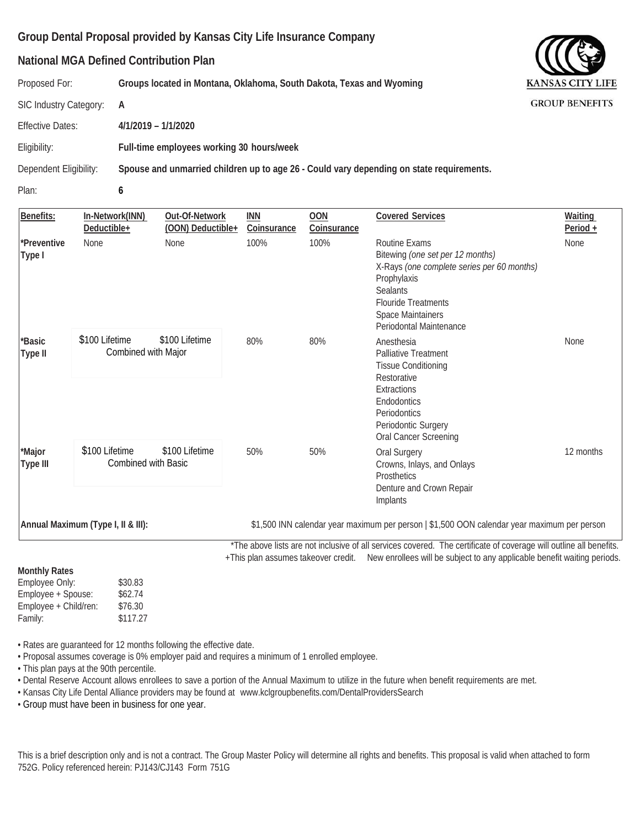#### **National MGA Defined Contribution Plan**

Proposed For: **Groups located in Montana, Oklahoma, South Dakota, Texas and Wyoming**

SIC Industry Category: **A**

Effective Dates: **4/1/2019 – 1/1/2020**

Eligibility: **Full-time employees working 30 hours/week**

Dependent Eligibility: **Spouse and unmarried children up to age 26 - Could vary depending on state requirements.**

Plan: **6**

| Benefits:             | In-Network(INN)<br>Deductible+        | Out-Of-Network<br>(OON) Deductible+ | <b>INN</b><br>Coinsurance | <b>OON</b><br>Coinsurance | <b>Covered Services</b>                                                                                                                                                                                         | Waiting<br>Period $+$ |
|-----------------------|---------------------------------------|-------------------------------------|---------------------------|---------------------------|-----------------------------------------------------------------------------------------------------------------------------------------------------------------------------------------------------------------|-----------------------|
| *Preventive<br>Type I | <b>None</b>                           | None                                | 100%                      | 100%                      | Routine Exams<br>Bitewing (one set per 12 months)<br>X-Rays (one complete series per 60 months)<br>Prophylaxis<br><b>Sealants</b><br><b>Flouride Treatments</b><br>Space Maintainers<br>Periodontal Maintenance | None                  |
| *Basic<br>Type II     | \$100 Lifetime<br>Combined with Major | \$100 Lifetime                      | 80%                       | 80%                       | Anesthesia<br>Palliative Treatment<br><b>Tissue Conditioning</b><br>Restorative<br>Extractions<br>Endodontics<br>Periodontics<br>Periodontic Surgery<br>Oral Cancer Screening                                   | <b>None</b>           |
| *Major<br>Type III    | \$100 Lifetime<br>Combined with Basic | \$100 Lifetime                      | 50%                       | 50%                       | Oral Surgery<br>Crowns, Inlays, and Onlays<br><b>Prosthetics</b><br>Denture and Crown Repair<br>Implants                                                                                                        | 12 months             |
|                       | Annual Maximum (Type I, II & III):    |                                     |                           |                           | \$1,500 INN calendar year maximum per person   \$1,500 OON calendar year maximum per person                                                                                                                     |                       |

 \*The above lists are not inclusive of all services covered. The certificate of coverage will outline all benefits. +This plan assumes takeover credit. New enrollees will be subject to any applicable benefit waiting periods.

| <b>Monthly Rates</b> |  |
|----------------------|--|
| Emnlovee Only:       |  |

Employee Only: \$30.83 Employee + Spouse: \$62.74 Employee + Child/ren: \$76.30 Family: \$117.27

• Rates are guaranteed for 12 months following the effective date.

• Proposal assumes coverage is 0% employer paid and requires a minimum of 1 enrolled employee.

• This plan pays at the 90th percentile.

• Dental Reserve Account allows enrollees to save a portion of the Annual Maximum to utilize in the future when benefit requirements are met.

• Kansas City Life Dental Alliance providers may be found at [www.kclgroupbenefits.com/DentalProvidersSearch](http://www.kclgroupbenefits.com/DentalProvidersSearch)

• Group must have been in business for one year.

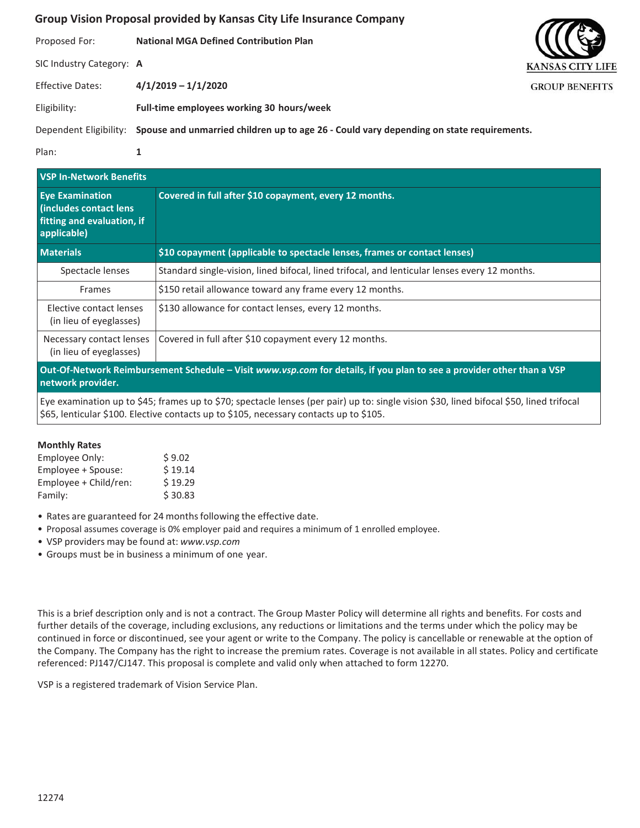Proposed For: **National MGA Defined Contribution Plan** SIC Industry Category: **A** Effective Dates: **4/1/2019 – 1/1/2020** Eligibility: **Full-time employees working 30 hours/week**

Dependent Eligibility: **Spouse and unmarried children up to age 26 - Could vary depending on state requirements.**

Plan: **1**

| <b>VSP In-Network Benefits</b>                                                                                                             |                                                                                               |  |  |
|--------------------------------------------------------------------------------------------------------------------------------------------|-----------------------------------------------------------------------------------------------|--|--|
| <b>Eve Examination</b><br>(includes contact lens<br>fitting and evaluation, if<br>applicable)                                              | Covered in full after \$10 copayment, every 12 months.                                        |  |  |
| <b>Materials</b>                                                                                                                           | \$10 copayment (applicable to spectacle lenses, frames or contact lenses)                     |  |  |
| Spectacle lenses                                                                                                                           | Standard single-vision, lined bifocal, lined trifocal, and lenticular lenses every 12 months. |  |  |
| Frames                                                                                                                                     | \$150 retail allowance toward any frame every 12 months.                                      |  |  |
| Elective contact lenses<br>(in lieu of eyeglasses)                                                                                         | \$130 allowance for contact lenses, every 12 months.                                          |  |  |
| Necessary contact lenses<br>(in lieu of eyeglasses)                                                                                        | Covered in full after \$10 copayment every 12 months.                                         |  |  |
| Out-Of-Network Reimbursement Schedule - Visit www.vsp.com for details, if you plan to see a provider other than a VSP<br>network provider. |                                                                                               |  |  |

Eye examination up to \$45; frames up to \$70; spectacle lenses (per pair) up to: single vision \$30, lined bifocal \$50, lined trifocal \$65, lenticular \$100. Elective contacts up to \$105, necessary contacts up to \$105.

#### **Monthly Rates**

| Employee Only:        | \$9.02  |
|-----------------------|---------|
| Employee + Spouse:    | \$19.14 |
| Employee + Child/ren: | \$19.29 |
| Family:               | \$30.83 |

- Rates are guaranteed for 24 months following the effective date.
- Proposal assumes coverage is 0% employer paid and requires a minimum of 1 enrolled employee.
- VSP providers may be found at: *[www.vsp.com](http://www.vsp.com/)*
- Groups must be in business a minimum of one year.

This is a brief description only and is not a contract. The Group Master Policy will determine all rights and benefits. For costs and further details of the coverage, including exclusions, any reductions or limitations and the terms under which the policy may be continued in force or discontinued, see your agent or write to the Company. The policy is cancellable or renewable at the option of the Company. The Company has the right to increase the premium rates. Coverage is not available in all states. Policy and certificate referenced: PJ147/CJ147. This proposal is complete and valid only when attached to form 12270.

VSP is a registered trademark of Vision Service Plan.